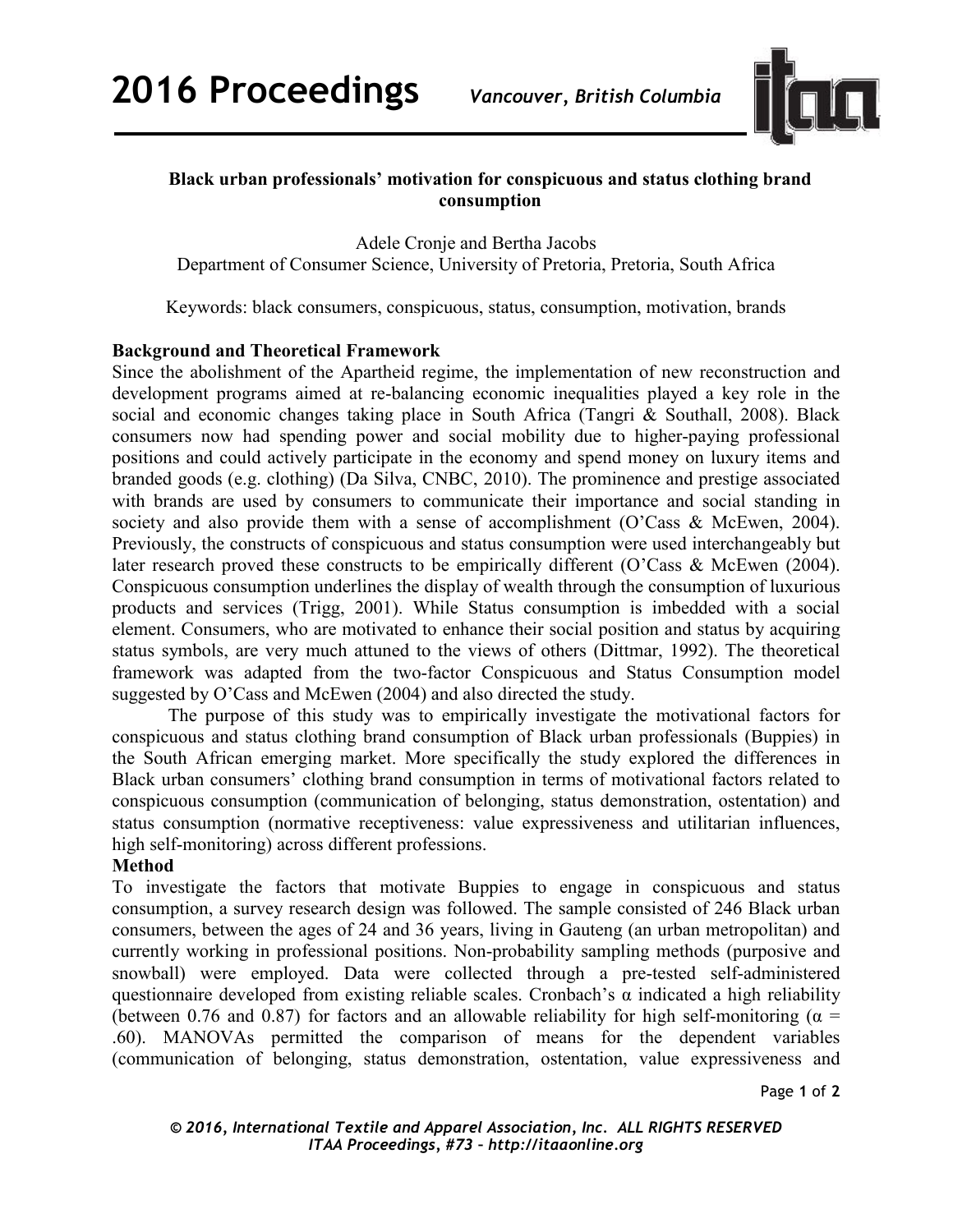

# **Black urban professionals' motivation for conspicuous and status clothing brand consumption**

Adele Cronje and Bertha Jacobs Department of Consumer Science, University of Pretoria, Pretoria, South Africa

Keywords: black consumers, conspicuous, status, consumption, motivation, brands

### **Background and Theoretical Framework**

Since the abolishment of the Apartheid regime, the implementation of new reconstruction and development programs aimed at re-balancing economic inequalities played a key role in the social and economic changes taking place in South Africa (Tangri & Southall, 2008). Black consumers now had spending power and social mobility due to higher-paying professional positions and could actively participate in the economy and spend money on luxury items and branded goods (e.g. clothing) (Da Silva, CNBC, 2010). The prominence and prestige associated with brands are used by consumers to communicate their importance and social standing in society and also provide them with a sense of accomplishment (O'Cass & McEwen, 2004). Previously, the constructs of conspicuous and status consumption were used interchangeably but later research proved these constructs to be empirically different (O'Cass & McEwen (2004). Conspicuous consumption underlines the display of wealth through the consumption of luxurious products and services (Trigg, 2001). While Status consumption is imbedded with a social element. Consumers, who are motivated to enhance their social position and status by acquiring status symbols, are very much attuned to the views of others (Dittmar, 1992). The theoretical framework was adapted from the two-factor Conspicuous and Status Consumption model suggested by O'Cass and McEwen (2004) and also directed the study.

The purpose of this study was to empirically investigate the motivational factors for conspicuous and status clothing brand consumption of Black urban professionals (Buppies) in the South African emerging market. More specifically the study explored the differences in Black urban consumers' clothing brand consumption in terms of motivational factors related to conspicuous consumption (communication of belonging, status demonstration, ostentation) and status consumption (normative receptiveness: value expressiveness and utilitarian influences, high self-monitoring) across different professions.

### **Method**

To investigate the factors that motivate Buppies to engage in conspicuous and status consumption, a survey research design was followed. The sample consisted of 246 Black urban consumers, between the ages of 24 and 36 years, living in Gauteng (an urban metropolitan) and currently working in professional positions. Non-probability sampling methods (purposive and snowball) were employed. Data were collected through a pre-tested self-administered questionnaire developed from existing reliable scales. Cronbach's  $\alpha$  indicated a high reliability (between 0.76 and 0.87) for factors and an allowable reliability for high self-monitoring ( $\alpha$  = .60). MANOVAs permitted the comparison of means for the dependent variables (communication of belonging, status demonstration, ostentation, value expressiveness and

Page **1** of **2**